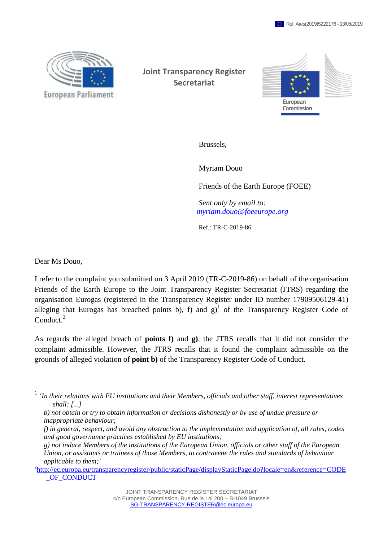

**Joint Transparency Register Secretariat**



Brussels,

Myriam Douo

Friends of the Earth Europe (FOEE)

*Sent only by email to: [myriam.douo@foeeurope.org](https://webgate.ec.testa.eu/transparencyregister/admin/complaint/listComplaints.do)*

Ref.: TR-C-2019-86

Dear Ms Douo,

 $\overline{a}$ 

I refer to the complaint you submitted on 3 April 2019 (TR-C-2019-86) on behalf of the organisation Friends of the Earth Europe to the Joint Transparency Register Secretariat (JTRS) regarding the organisation Eurogas (registered in the Transparency Register under ID number 17909506129-41) alleging that Eurogas has breached points b), f) and  $g<sup>1</sup>$  of the Transparency Register Code of Conduct.<sup>2</sup>

As regards the alleged breach of **points f)** and **g)**, the JTRS recalls that it did not consider the complaint admissible. However, the JTRS recalls that it found the complaint admissible on the grounds of alleged violation of **point b)** of the Transparency Register Code of Conduct.

*f) in general, respect, and avoid any obstruction to the implementation and application of, all rules, codes and good governance practices established by EU institutions;*

<sup>1</sup> '*In their relations with EU institutions and their Members, officials and other staff, interest representatives shall: [...]*

*b) not obtain or try to obtain information or decisions dishonestly or by use of undue pressure or inappropriate behaviour;*

*g) not induce Members of the institutions of the European Union, officials or other staff of the European Union, or assistants or trainees of those Members, to contravene the rules and standards of behaviour applicable to them;'*

<sup>&</sup>lt;sup>2</sup>[http://ec.europa.eu/transparencyregister/public/staticPage/displayStaticPage.do?locale=en&reference=CODE](http://ec.europa.eu/transparencyregister/public/staticPage/displayStaticPage.do?locale=en&reference=CODE_OF_CONDUCT) OF CONDUCT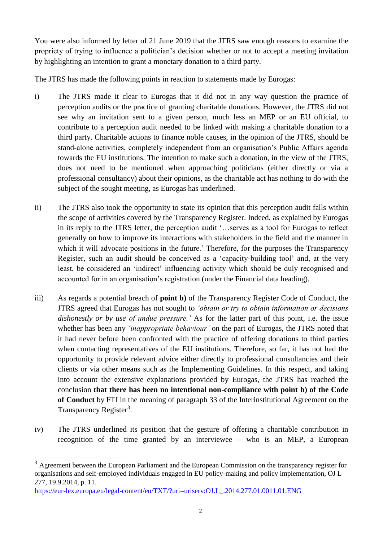You were also informed by letter of 21 June 2019 that the JTRS saw enough reasons to examine the propriety of trying to influence a politician's decision whether or not to accept a meeting invitation by highlighting an intention to grant a monetary donation to a third party.

The JTRS has made the following points in reaction to statements made by Eurogas:

- i) The JTRS made it clear to Eurogas that it did not in any way question the practice of perception audits or the practice of granting charitable donations. However, the JTRS did not see why an invitation sent to a given person, much less an MEP or an EU official, to contribute to a perception audit needed to be linked with making a charitable donation to a third party. Charitable actions to finance noble causes, in the opinion of the JTRS, should be stand-alone activities, completely independent from an organisation's Public Affairs agenda towards the EU institutions. The intention to make such a donation, in the view of the JTRS, does not need to be mentioned when approaching politicians (either directly or via a professional consultancy) about their opinions, as the charitable act has nothing to do with the subject of the sought meeting, as Eurogas has underlined.
- ii) The JTRS also took the opportunity to state its opinion that this perception audit falls within the scope of activities covered by the Transparency Register. Indeed, as explained by Eurogas in its reply to the JTRS letter, the perception audit '…serves as a tool for Eurogas to reflect generally on how to improve its interactions with stakeholders in the field and the manner in which it will advocate positions in the future.' Therefore, for the purposes the Transparency Register, such an audit should be conceived as a 'capacity-building tool' and, at the very least, be considered an 'indirect' influencing activity which should be duly recognised and accounted for in an organisation's registration (under the Financial data heading).
- iii) As regards a potential breach of **point b)** of the Transparency Register Code of Conduct, the JTRS agreed that Eurogas has not sought to *'obtain or try to obtain information or decisions dishonestly or by use of undue pressure.'* As for the latter part of this point, i.e. the issue whether has been any *'inappropriate behaviour'* on the part of Eurogas, the JTRS noted that it had never before been confronted with the practice of offering donations to third parties when contacting representatives of the EU institutions. Therefore, so far, it has not had the opportunity to provide relevant advice either directly to professional consultancies and their clients or via other means such as the Implementing Guidelines. In this respect, and taking into account the extensive explanations provided by Eurogas, the JTRS has reached the conclusion **that there has been no intentional non-compliance with point b) of the Code of Conduct** by FTI in the meaning of paragraph 33 of the Interinstitutional Agreement on the Transparency Register<sup>3</sup>.
- iv) The JTRS underlined its position that the gesture of offering a charitable contribution in recognition of the time granted by an interviewee – who is an MEP, a European

 $\overline{a}$ 

<sup>&</sup>lt;sup>3</sup> Agreement between the European Parliament and the European Commission on the transparency register for organisations and self-employed individuals engaged in EU policy-making and policy implementation, OJ L 277, 19.9.2014, p. 11.

[https://eur-lex.europa.eu/legal-content/en/TXT/?uri=uriserv:OJ.L\\_.2014.277.01.0011.01.ENG](https://eur-lex.europa.eu/legal-content/en/TXT/?uri=uriserv:OJ.L_.2014.277.01.0011.01.ENG)